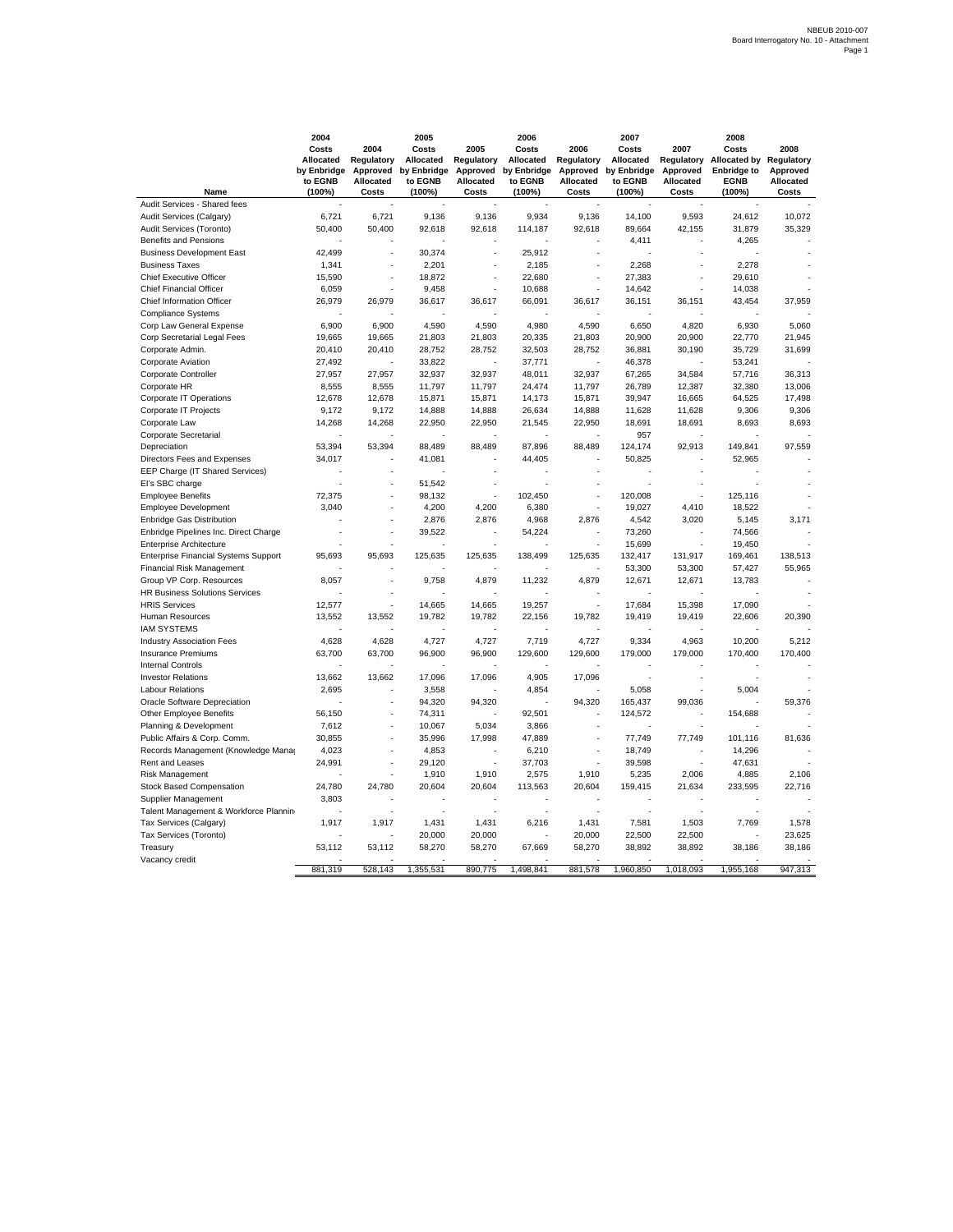|                                             | 2004<br>Costs<br>Allocated<br>by Enbridge<br>to EGNB | 2004<br>Regulatory<br>Approved<br>Allocated | 2005<br>Costs<br>Allocated<br>by Enbridge<br>to EGNB | 2005<br>Regulatory<br>Approved<br>Allocated | 2006<br>Costs<br>Allocated<br>by Enbridge<br>to EGNB | 2006<br>Regulatory<br>Allocated | 2007<br>Costs<br>Allocated<br>Approved by Enbridge<br>to EGNB | 2007<br>Approved<br>Allocated | 2008<br>Costs<br>Regulatory Allocated by<br><b>Enbridge to</b><br><b>EGNB</b> | 2008<br>Regulatory<br>Approved<br>Allocated |
|---------------------------------------------|------------------------------------------------------|---------------------------------------------|------------------------------------------------------|---------------------------------------------|------------------------------------------------------|---------------------------------|---------------------------------------------------------------|-------------------------------|-------------------------------------------------------------------------------|---------------------------------------------|
| Name                                        | (100%)                                               | Costs                                       | (100%)                                               | Costs                                       | (100%)                                               | Costs                           | (100%)                                                        | Costs                         | (100%)                                                                        | Costs                                       |
| Audit Services - Shared fees                |                                                      |                                             |                                                      |                                             |                                                      |                                 |                                                               |                               |                                                                               |                                             |
| Audit Services (Calgary)                    | 6,721                                                | 6,721                                       | 9,136                                                | 9,136                                       | 9,934                                                | 9,136                           | 14,100                                                        | 9,593                         | 24,612                                                                        | 10,072                                      |
| Audit Services (Toronto)                    | 50,400                                               | 50,400                                      | 92,618                                               | 92,618                                      | 114,187                                              | 92,618                          | 89,664                                                        | 42,155                        | 31,879                                                                        | 35,329                                      |
| <b>Benefits and Pensions</b>                |                                                      |                                             |                                                      |                                             |                                                      |                                 | 4,411                                                         |                               | 4,265                                                                         |                                             |
| <b>Business Development East</b>            | 42,499                                               |                                             | 30,374                                               | ä,                                          | 25,912                                               |                                 |                                                               |                               |                                                                               |                                             |
| <b>Business Taxes</b>                       | 1,341                                                |                                             | 2,201                                                | í,                                          | 2,185                                                |                                 | 2.268                                                         |                               | 2.278                                                                         |                                             |
| <b>Chief Executive Officer</b>              | 15,590                                               | ÷.                                          | 18,872                                               | ÷.                                          | 22,680                                               |                                 | 27,383                                                        | J.                            | 29,610                                                                        |                                             |
| <b>Chief Financial Officer</b>              | 6,059                                                |                                             | 9,458                                                |                                             | 10,688                                               |                                 | 14,642                                                        |                               | 14,038                                                                        |                                             |
| Chief Information Officer                   | 26,979                                               | 26,979                                      | 36,617                                               | 36,617                                      | 66,091                                               | 36,617                          | 36,151                                                        | 36,151                        | 43,454                                                                        | 37,959                                      |
| <b>Compliance Systems</b>                   |                                                      |                                             |                                                      |                                             |                                                      |                                 |                                                               |                               |                                                                               |                                             |
| Corp Law General Expense                    | 6,900                                                | 6,900                                       | 4,590                                                | 4,590                                       | 4,980                                                | 4,590                           | 6,650                                                         | 4,820                         | 6,930                                                                         | 5,060                                       |
| Corp Secretarial Legal Fees                 | 19,665                                               | 19,665                                      | 21,803                                               | 21,803                                      | 20,335                                               | 21,803                          | 20,900                                                        | 20,900                        | 22,770                                                                        | 21,945                                      |
| Corporate Admin.                            | 20,410                                               | 20,410                                      | 28,752                                               | 28,752                                      | 32,503                                               | 28,752                          | 36,881                                                        | 30,190                        | 35,729                                                                        | 31,699                                      |
| Corporate Aviation                          | 27,492                                               |                                             | 33,822                                               |                                             | 37,771                                               |                                 | 46,378                                                        |                               | 53,241                                                                        |                                             |
| Corporate Controller                        | 27,957                                               | 27,957                                      | 32,937                                               | 32,937                                      | 48,011                                               | 32,937                          | 67,265                                                        | 34,584                        | 57,716                                                                        | 36,313                                      |
| Corporate HR                                | 8,555                                                | 8,555                                       | 11,797                                               | 11,797                                      | 24,474                                               | 11,797                          | 26,789                                                        | 12,387                        | 32,380                                                                        | 13,006                                      |
| Corporate IT Operations                     | 12,678                                               | 12,678                                      | 15,871                                               | 15,871                                      | 14,173                                               | 15,871                          | 39,947                                                        | 16,665                        | 64,525                                                                        | 17,498                                      |
| Corporate IT Projects                       | 9,172                                                | 9,172                                       | 14,888                                               | 14,888                                      | 26,634                                               | 14,888                          | 11,628                                                        | 11,628                        | 9,306                                                                         | 9,306                                       |
| Corporate Law                               | 14,268                                               | 14,268                                      | 22,950                                               | 22,950                                      | 21,545                                               | 22,950                          | 18,691                                                        | 18,691                        | 8,693                                                                         | 8,693                                       |
| Corporate Secretarial                       |                                                      |                                             |                                                      |                                             |                                                      |                                 | 957                                                           |                               |                                                                               |                                             |
| Depreciation                                | 53,394                                               | 53,394                                      | 88,489                                               | 88,489                                      | 87,896                                               | 88,489                          | 124,174                                                       | 92,913                        | 149,841                                                                       | 97,559                                      |
| Directors Fees and Expenses                 | 34,017                                               |                                             | 41,081                                               |                                             | 44,405                                               |                                 | 50,825                                                        |                               | 52,965                                                                        |                                             |
| EEP Charge (IT Shared Services)             |                                                      |                                             |                                                      |                                             |                                                      |                                 |                                                               |                               |                                                                               |                                             |
| El's SBC charge                             |                                                      |                                             | 51,542                                               | J.                                          |                                                      |                                 |                                                               |                               |                                                                               |                                             |
| <b>Employee Benefits</b>                    | 72,375                                               |                                             | 98,132                                               |                                             | 102,450                                              |                                 | 120,008                                                       |                               | 125,116                                                                       |                                             |
| <b>Employee Development</b>                 | 3,040                                                |                                             | 4,200                                                | 4,200                                       | 6,380                                                |                                 | 19,027                                                        | 4,410                         | 18,522                                                                        |                                             |
| Enbridge Gas Distribution                   |                                                      |                                             | 2,876                                                | 2,876                                       | 4,968                                                | 2,876                           | 4,542                                                         | 3,020                         | 5,145                                                                         | 3,171                                       |
| Enbridge Pipelines Inc. Direct Charge       |                                                      |                                             | 39,522                                               | ä,                                          | 54,224                                               | ÷                               | 73,260                                                        | ×.                            | 74,566                                                                        |                                             |
| <b>Enterprise Architecture</b>              |                                                      |                                             |                                                      |                                             |                                                      |                                 | 15,699                                                        |                               | 19,450                                                                        |                                             |
| <b>Enterprise Financial Systems Support</b> | 95,693                                               | 95,693                                      | 125,635                                              | 125,635                                     | 138,499                                              | 125,635                         | 132,417                                                       | 131,917                       | 169,461                                                                       | 138,513                                     |
| <b>Financial Risk Management</b>            |                                                      |                                             |                                                      |                                             |                                                      |                                 | 53,300                                                        | 53,300                        | 57,427                                                                        | 55,965                                      |
| Group VP Corp. Resources                    | 8,057                                                | ×,                                          | 9,758                                                | 4,879                                       | 11,232                                               | 4,879                           | 12,671                                                        | 12,671                        | 13,783                                                                        |                                             |
| <b>HR Business Solutions Services</b>       |                                                      |                                             |                                                      |                                             |                                                      |                                 |                                                               |                               |                                                                               |                                             |
| <b>HRIS Services</b>                        | 12,577                                               |                                             | 14,665                                               | 14,665                                      | 19,257                                               |                                 | 17,684                                                        | 15,398                        | 17,090                                                                        |                                             |
| Human Resources                             | 13,552                                               | 13,552                                      | 19,782                                               | 19,782                                      | 22,156                                               | 19,782                          | 19,419                                                        | 19,419                        | 22,606                                                                        | 20,390                                      |
| <b>IAM SYSTEMS</b>                          |                                                      |                                             |                                                      |                                             |                                                      |                                 |                                                               |                               |                                                                               |                                             |
| <b>Industry Association Fees</b>            | 4,628                                                | 4,628                                       | 4,727                                                | 4,727                                       | 7,719                                                | 4,727                           | 9,334                                                         | 4,963                         | 10,200                                                                        | 5,212                                       |
| <b>Insurance Premiums</b>                   | 63,700                                               | 63,700                                      | 96,900                                               | 96,900                                      | 129,600                                              | 129,600                         | 179,000                                                       | 179,000                       | 170,400                                                                       | 170,400                                     |
| <b>Internal Controls</b>                    |                                                      |                                             |                                                      |                                             |                                                      |                                 |                                                               |                               |                                                                               |                                             |
| <b>Investor Relations</b>                   | 13,662                                               | 13,662                                      | 17,096                                               | 17,096                                      | 4,905                                                | 17,096                          |                                                               |                               |                                                                               |                                             |
| <b>Labour Relations</b>                     | 2,695                                                |                                             | 3,558                                                |                                             | 4,854                                                |                                 | 5,058                                                         |                               | 5,004                                                                         |                                             |
| Oracle Software Depreciation                |                                                      |                                             | 94,320                                               | 94,320                                      |                                                      | 94,320                          | 165,437                                                       | 99,036                        |                                                                               | 59,376                                      |
| Other Employee Benefits                     | 56,150                                               |                                             | 74,311                                               |                                             | 92,501                                               |                                 | 124,572                                                       |                               | 154,688                                                                       |                                             |
| Planning & Development                      | 7,612                                                |                                             | 10,067                                               | 5,034                                       | 3,866                                                |                                 |                                                               |                               |                                                                               |                                             |
| Public Affairs & Corp. Comm.                | 30,855                                               |                                             | 35,996                                               | 17,998                                      | 47,889                                               |                                 | 77,749                                                        | 77,749                        | 101,116                                                                       | 81,636                                      |
| Records Management (Knowledge Manag         | 4,023                                                |                                             | 4,853                                                |                                             | 6,210                                                |                                 | 18,749                                                        |                               | 14,296                                                                        |                                             |
| Rent and Leases                             | 24,991                                               |                                             | 29,120                                               |                                             | 37,703                                               |                                 | 39,598                                                        |                               | 47,631                                                                        |                                             |
| <b>Risk Management</b>                      |                                                      |                                             | 1,910                                                | 1,910                                       | 2,575                                                | 1,910                           | 5,235                                                         | 2,006                         | 4,885                                                                         | 2,106                                       |
| Stock Based Compensation                    | 24,780                                               | 24,780                                      | 20,604                                               | 20,604                                      | 113,563                                              | 20,604                          | 159,415                                                       | 21,634                        | 233,595                                                                       | 22,716                                      |
| Supplier Management                         | 3,803                                                |                                             |                                                      |                                             |                                                      |                                 |                                                               |                               |                                                                               |                                             |
| Talent Management & Workforce Plannin       |                                                      |                                             |                                                      |                                             |                                                      |                                 |                                                               |                               |                                                                               |                                             |
| Tax Services (Calgary)                      | 1,917                                                | 1,917                                       | 1,431                                                | 1,431                                       | 6,216                                                | 1,431                           | 7,581                                                         | 1,503                         | 7,769                                                                         | 1,578                                       |
| Tax Services (Toronto)                      |                                                      |                                             | 20,000                                               | 20,000                                      |                                                      | 20,000                          | 22,500                                                        | 22,500                        |                                                                               | 23,625                                      |
| Treasury                                    | 53,112                                               | 53,112                                      | 58,270                                               | 58,270                                      | 67,669                                               | 58,270                          | 38,892                                                        | 38,892                        | 38,186                                                                        | 38,186                                      |
| Vacancy credit                              |                                                      |                                             |                                                      |                                             |                                                      |                                 |                                                               |                               |                                                                               |                                             |
|                                             | 881.319                                              | 528.143                                     | 355,531                                              | 890,775                                     | 1.498.841                                            | 881,578                         | 1.960.850                                                     | 1.018.093                     | 1,955,168                                                                     | 947.313                                     |